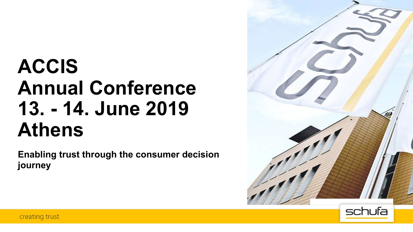# **ACCIS Annual Conference 13. - 14. June 2019 Athens**

**Enabling trust through the consumer decision journey**



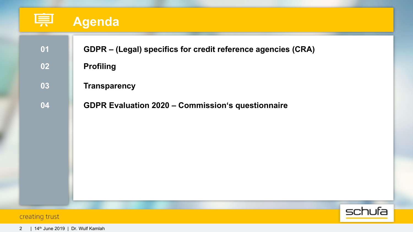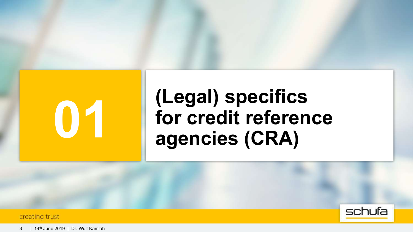

# **(Legal) specifics for credit reference 01 agencies (CRA)**

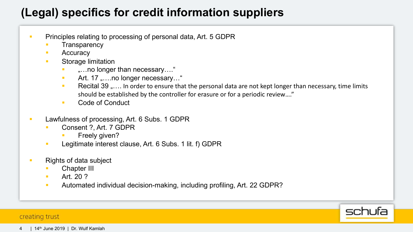# **(Legal) specifics for credit information suppliers**

- **Principles relating to processing of personal data, Art. 5 GDPR** 
	- **Transparency**
	- Accuracy
	- Storage limitation
		- "...no longer than necessary...."
		- Art. 17 "....no longer necessary..."
		- **Recital 39 ".... In order to ensure that the personal data are not kept longer than necessary, time limits** should be established by the controller for erasure or for a periodic review…."
		- Code of Conduct
- Lawfulness of processing, Art. 6 Subs. 1 GDPR
	- § Consent ?, Art. 7 GDPR
		- § Freely given?
	- **EXECUTE:** Legitimate interest clause, Art. 6 Subs. 1 lit. f) GDPR
- Rights of data subject
	- Chapter III
	- Art. 20 ?
	- **Automated individual decision-making, including profiling, Art. 22 GDPR?**

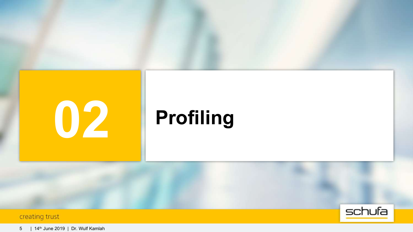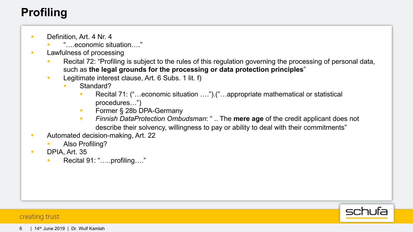# **Profiling**

- Definition, Art. 4 Nr. 4
	- § "….economic situation…."
- Lawfulness of processing
	- Recital 72: "Profiling is subject to the rules of this regulation governing the processing of personal data, such as **the legal grounds for the processing or data protection principles**"
	- **EXECUTE:** Legitimate interest clause, Art. 6 Subs. 1 lit. f)
		- § Standard?
			- § Recital 71: ("…economic situation ….").("…appropriate mathematical or statistical procedures…")
			- Former § 28b DPA-Germany
			- § *Finnish DataProtection Ombudsman*: " .. The **mere age** of the credit applicant does not describe their solvency, willingness to pay or ability to deal with their commitments"
- Automated decision-making, Art. 22
	- § Also Profiling?
- § DPIA, Art. 35
	- § Recital 91: "…..profiling…."

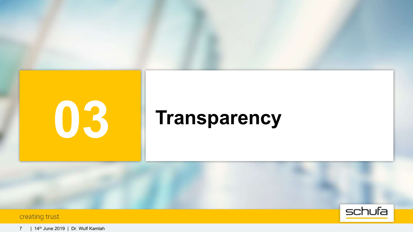

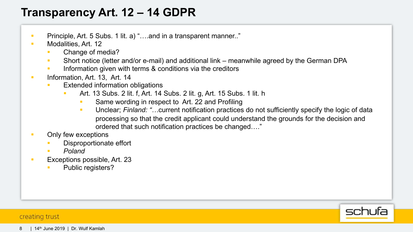# **Transparency Art. 12 – 14 GDPR**

- **Principle, Art. 5 Subs. 1 lit. a) "....and in a transparent manner.."**
- Modalities, Art. 12
	- § Change of media?
	- § Short notice (letter and/or e-mail) and additional link meanwhile agreed by the German DPA
	- Information given with terms & conditions via the creditors
- **•** Information, Art. 13, Art. 14
	- Extended information obligations
		- § Art. 13 Subs. 2 lit. f, Art. 14 Subs. 2 lit. g, Art. 15 Subs. 1 lit. h
			- Same wording in respect to Art. 22 and Profiling
			- § Unclear; *Finland: "…*current notification practices do not sufficiently specify the logic of data processing so that the credit applicant could understand the grounds for the decision and ordered that such notification practices be changed…."

## **• Only few exceptions**

- Disproportionate effort
- § *Poland*
- Exceptions possible, Art. 23
	- § Public registers?

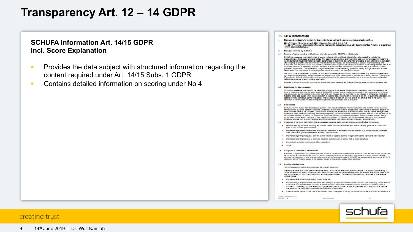## **Transparency Art. 12 – 14 GDPR**

## **SCHUFA Information Art. 14/15 GDPR incl. Score Explanation**

- **•** Provides the data subject with structured information regarding the content required under Art. 14/15 Subs. 1 GDPR
- Contains detailed information on scoring under No 4

#### **SCHUFA Information**

Name and contact information for the controller as well as the company data protection officer CCHUFA Holding AC, Kormoranweg 6, 65201 Wildcoaten, Tal.: +49 (0) 6 11-92 78 0

The SCHUFA company data protection officer can be reached at the accreen lieted above, attr. Department of Data Protection or by earning an ernall to deteractura caschuls de

- 2 Data processing by SCHUFA
- 2.1 Purpose of data proceeding and legitimate interests pursued by SCHUPA or a third party

BCHUFA processes percent data in order to provide recipients with a legitimate interest information needed to evaluate the  $\frac{1}{2}$  and the state of the state with the state of state and state fields in the state of the state of the state of the state of the state of the state of the state of the state of the state of the state of the state processed for partness of traud prevention, integrity assessment, money raundering prevention, identity and age ventication, activists

In addition to the attrementories, purposes, schedule also processes personal data for internal purposes (e.g. assertion of and determining a dispute, gameral such security and the model was the model of services and products, ensuring it eachility and<br>IT operations), its legitimate interest in such processing is based on the purposes in questi (afficient parformance of tasks, avoiding les al ricks).

Pursuart to Article 14 (4) GDPR, SCHURA will provide information regarding any changes to the purposes for which riprocesses data.

#### 1.2 Legal bases for data processing

screating process persons case on the rasks often presents of the cases accuse the obstance cases is processed or the<br>Institute of persons to registe or by street party and the provided that processing to recognize of the declaration to the contractual partner in question. This also agains to consent provided grisn to the effective date of the GDPR. The<br>revocation of consent does not affect the legativ of personal data processed prior to re

#### 13 Data courose

scrutramentem incora non is contatua partes, They mouse meanors, International and agreed service provises of<br>contated inter lackgam Economic Area and Switzelland, Is well link contribe ac applicable (other order at sequen be purpose described in sedion 1.1, in particular (mail prost) relation. Commission convention, dentice profilers, peachy, energy<br>supply, becommissions. Insurance or debt collection comparies. Furthermore. SCHUTA processes

- 2.4 categories of personal information that is processed (personal data, payment mistory and contractual compliance)
- · Personal tata, els suntana (including any prenoss names mai may be obtained upon special request), giver name, que or prim,<br>placa of birth, actrisse, phor addresses
- Information reparding the Initiation and execution of a transaction in accordance with the contract (e.g. current accounts, installment lasre, creditords, gambimen-exempl accounts, basic accounts)
- . Information regarding undepoted, peet-due olatine added to repeated durating or legially enforceable claims and their resolution
- . Information regarding improper or otherwise maximient activities such as lowing that or credit rating traud. Information from public regletries and official publications
- $-$  Section

#### 15 Categories of recipients of personal data

Hedpens conpresentance parrels puissant losebol 23 domined in the European Economic Alea are switzenard, as well only<br>this counties as applicate (to the edent an assump) decider mase by the European Commission and an extra recipens. SCHUPA is aso subject to the statutory powers of mervertion, held by public authorities.

#### 10 Duration of data storage

CCHUFA close information about individuals for a cartain seriod only.

Necessity is the decisive factor used to define this behind. SCHUPA has estatested started necess for a review of the recossity of further clorage ander arabure of personal data. Baced on these rules, the general clorage period for personal data is three years, to the cay, from the cate on which the consequenting activities were completed. The tongoing industriations, examples of other eracine pariods include:

- . Internation regarding enquiries: twelve months to the day
- imperiation regarding eldebishes contactual data relating to account escumented without the associated claim (e.g. current accounts) credi cards, illeconfinationers assourte al energy accounts), internation regarding contacts for which an evidential review is<br>provided to by any leg. Accusing exempt from gamerinam, pasic accounts), as well as guarantees
- Data from detter resistent of the central enforcement counts: three years to the day, but earlier if SCHUFA le provided with evidence of

December 2018

SCHUTA Information PPC

 $7.032$ 



#### 9 | 14th June 2019 | Dr. Wulf Kamlah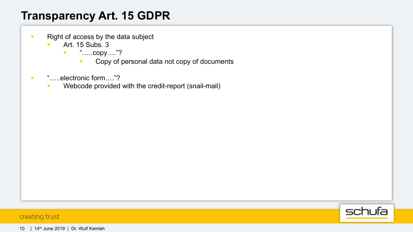# **Transparency Art. 15 GDPR**

- Right of access by the data subject
	- Art. 15 Subs. 3
		- "……copy…."?
			- Copy of personal data not copy of documents
- "……electronic form…."?
	- **Webcode provided with the credit-report (snail-mail)**

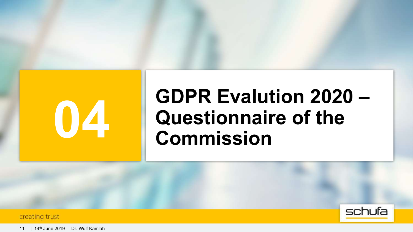# **GDPR Evalution 2020 – QUESTION COMMISSION**

creating trust



11 | 14th June 2019 | Dr. Wulf Kamlah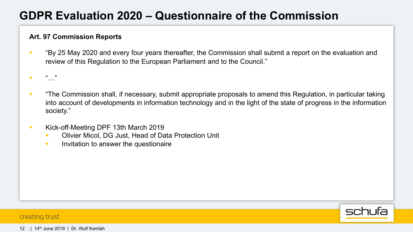# **GDPR Evaluation 2020 – Questionnaire of the Commission**

## **Art. 97 Commission Reports**

- § "By 25 May 2020 and every four years thereafter, the Commission shall submit a report on the evaluation and review of this Regulation to the European Parliament and to the Council."
- § "…"
- "The Commission shall, if necessary, submit appropriate proposals to amend this Regulation, in particular taking into account of developments in information technology and in the light of the state of progress in the information society."
- Kick-off-Meeting DPF 13th March 2019
	- § Olivier Micol, DG Just, Head of Data Protection Unit
	- **Invitation to answer the questionaire**

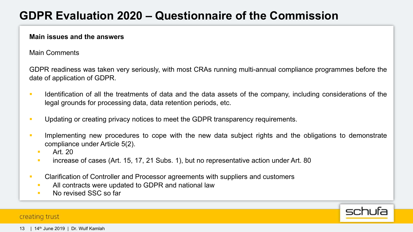# **GDPR Evaluation 2020 – Questionnaire of the Commission**

## **Main issues and the answers**

Main Comments

GDPR readiness was taken very seriously, with most CRAs running multi-annual compliance programmes before the date of application of GDPR.

- **•** Identification of all the treatments of data and the data assets of the company, including considerations of the legal grounds for processing data, data retention periods, etc.
- **•** Updating or creating privacy notices to meet the GDPR transparency requirements.
- **•** Implementing new procedures to cope with the new data subject rights and the obligations to demonstrate compliance under Article 5(2).

schufa

- § Art. 20
- **EXECT** increase of cases (Art. 15, 17, 21 Subs. 1), but no representative action under Art. 80
- **Clarification of Controller and Processor agreements with suppliers and customers** 
	- All contracts were updated to GDPR and national law
	- No revised SSC so far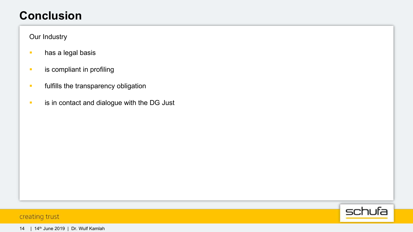## **Conclusion**

## Our Industry

- **•** has a legal basis
- **•** is compliant in profiling
- **•** fulfills the transparency obligation
- **•** is in contact and dialogue with the DG Just